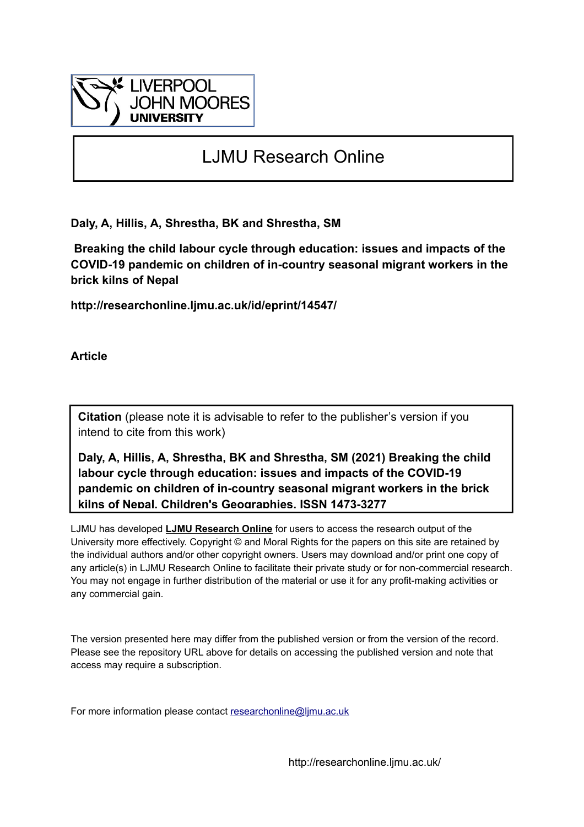

# LJMU Research Online

**Daly, A, Hillis, A, Shrestha, BK and Shrestha, SM**

 **Breaking the child labour cycle through education: issues and impacts of the COVID-19 pandemic on children of in-country seasonal migrant workers in the brick kilns of Nepal**

**http://researchonline.ljmu.ac.uk/id/eprint/14547/**

**Article**

**Citation** (please note it is advisable to refer to the publisher's version if you intend to cite from this work)

**Daly, A, Hillis, A, Shrestha, BK and Shrestha, SM (2021) Breaking the child labour cycle through education: issues and impacts of the COVID-19 pandemic on children of in-country seasonal migrant workers in the brick kilns of Nepal. Children's Geographies. ISSN 1473-3277** 

LJMU has developed **[LJMU Research Online](http://researchonline.ljmu.ac.uk/)** for users to access the research output of the University more effectively. Copyright © and Moral Rights for the papers on this site are retained by the individual authors and/or other copyright owners. Users may download and/or print one copy of any article(s) in LJMU Research Online to facilitate their private study or for non-commercial research. You may not engage in further distribution of the material or use it for any profit-making activities or any commercial gain.

The version presented here may differ from the published version or from the version of the record. Please see the repository URL above for details on accessing the published version and note that access may require a subscription.

For more information please contact researchonline@limu.ac.uk

http://researchonline.ljmu.ac.uk/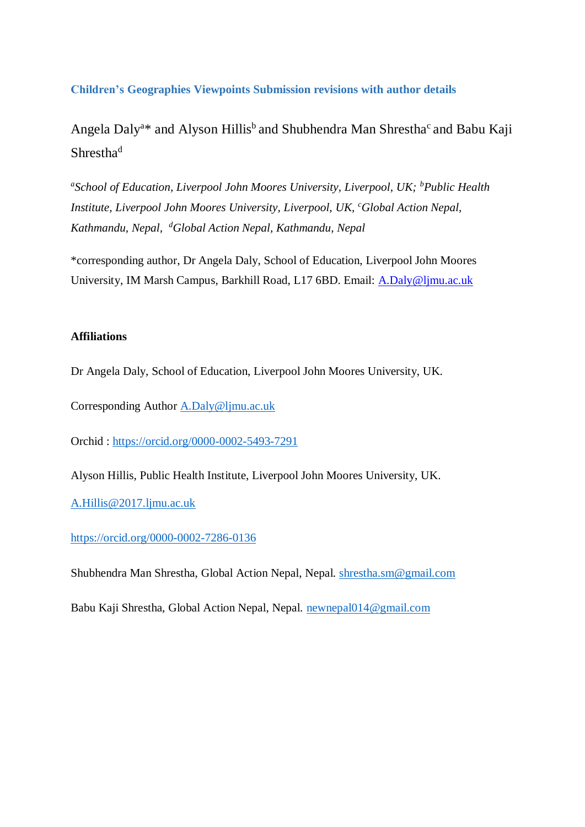**Children's Geographies Viewpoints Submission revisions with author details**

Angela Daly<sup>a\*</sup> and Alyson Hillis<sup>b</sup> and Shubhendra Man Shrestha<sup>c</sup> and Babu Kaji Shrestha<sup>d</sup>

<sup>a</sup>School of Education, Liverpool John Moores University, Liverpool, UK; <sup>b</sup>Public Health *Institute, Liverpool John Moores University, Liverpool, UK, <sup>c</sup>Global Action Nepal, Kathmandu, Nepal, <sup>d</sup>Global Action Nepal, Kathmandu, Nepal*

\*corresponding author, Dr Angela Daly, School of Education, Liverpool John Moores University, IM Marsh Campus, Barkhill Road, L17 6BD. Email: [A.Daly@ljmu.ac.uk](mailto:A.Daly@ljmu.ac.uk)

# **Affiliations**

Dr Angela Daly, School of Education, Liverpool John Moores University, UK.

Corresponding Author [A.Daly@ljmu.ac.uk](mailto:A.Daly@ljmu.ac.uk)

Orchid :<https://orcid.org/0000-0002-5493-7291>

Alyson Hillis, Public Health Institute, Liverpool John Moores University, UK.

[A.Hillis@2017.ljmu.ac.uk](mailto:A.Hillis@2017.ljmu.ac.uk)

<https://orcid.org/0000-0002-7286-0136>

Shubhendra Man Shrestha, Global Action Nepal, Nepal. [shrestha.sm@gmail.com](mailto:shrestha.sm@gmail.com)

Babu Kaji Shrestha, Global Action Nepal, Nepal. [newnepal014@gmail.com](mailto:newnepal014@gmail.com)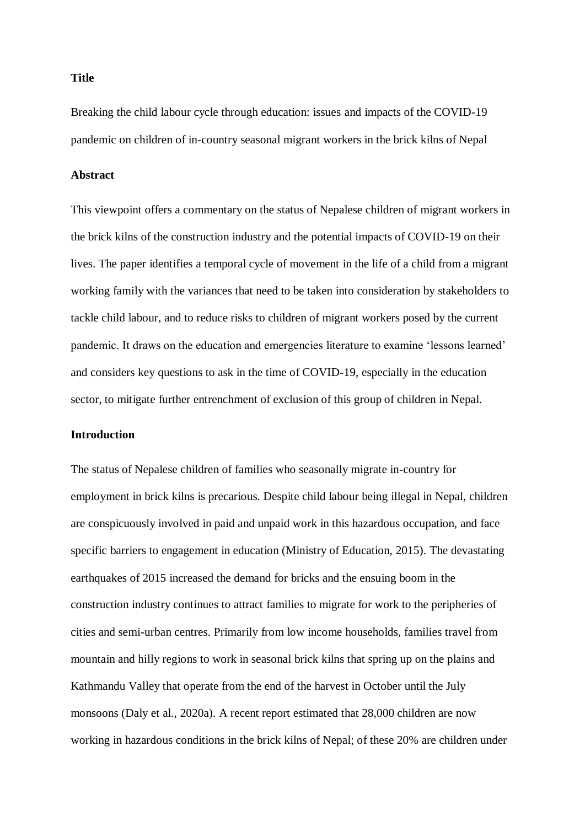**Title**

Breaking the child labour cycle through education: issues and impacts of the COVID-19 pandemic on children of in-country seasonal migrant workers in the brick kilns of Nepal

#### **Abstract**

This viewpoint offers a commentary on the status of Nepalese children of migrant workers in the brick kilns of the construction industry and the potential impacts of COVID-19 on their lives. The paper identifies a temporal cycle of movement in the life of a child from a migrant working family with the variances that need to be taken into consideration by stakeholders to tackle child labour, and to reduce risks to children of migrant workers posed by the current pandemic. It draws on the education and emergencies literature to examine 'lessons learned' and considers key questions to ask in the time of COVID-19, especially in the education sector, to mitigate further entrenchment of exclusion of this group of children in Nepal.

# **Introduction**

The status of Nepalese children of families who seasonally migrate in-country for employment in brick kilns is precarious. Despite child labour being illegal in Nepal, children are conspicuously involved in paid and unpaid work in this hazardous occupation, and face specific barriers to engagement in education (Ministry of Education, 2015). The devastating earthquakes of 2015 increased the demand for bricks and the ensuing boom in the construction industry continues to attract families to migrate for work to the peripheries of cities and semi-urban centres. Primarily from low income households, families travel from mountain and hilly regions to work in seasonal brick kilns that spring up on the plains and Kathmandu Valley that operate from the end of the harvest in October until the July monsoons (Daly et al., 2020a). A recent report estimated that 28,000 children are now working in hazardous conditions in the brick kilns of Nepal; of these 20% are children under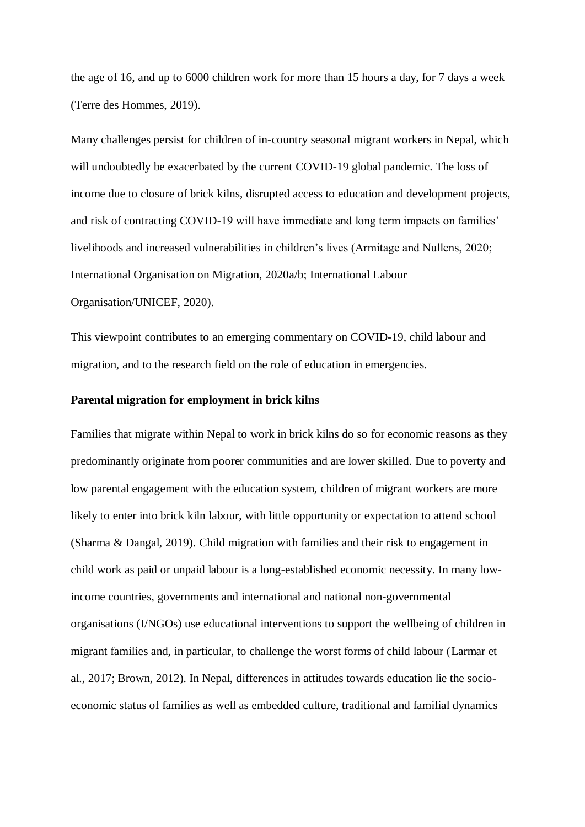the age of 16, and up to 6000 children work for more than 15 hours a day, for 7 days a week (Terre des Hommes, 2019).

Many challenges persist for children of in-country seasonal migrant workers in Nepal, which will undoubtedly be exacerbated by the current COVID-19 global pandemic. The loss of income due to closure of brick kilns, disrupted access to education and development projects, and risk of contracting COVID-19 will have immediate and long term impacts on families' livelihoods and increased vulnerabilities in children's lives (Armitage and Nullens, 2020; International Organisation on Migration, 2020a/b; International Labour Organisation/UNICEF, 2020).

This viewpoint contributes to an emerging commentary on COVID-19, child labour and migration, and to the research field on the role of education in emergencies.

#### **Parental migration for employment in brick kilns**

Families that migrate within Nepal to work in brick kilns do so for economic reasons as they predominantly originate from poorer communities and are lower skilled. Due to poverty and low parental engagement with the education system, children of migrant workers are more likely to enter into brick kiln labour, with little opportunity or expectation to attend school (Sharma & Dangal, 2019). Child migration with families and their risk to engagement in child work as paid or unpaid labour is a long-established economic necessity. In many lowincome countries, governments and international and national non-governmental organisations (I/NGOs) use educational interventions to support the wellbeing of children in migrant families and, in particular, to challenge the worst forms of child labour (Larmar et al., 2017; Brown, 2012). In Nepal, differences in attitudes towards education lie the socioeconomic status of families as well as embedded culture, traditional and familial dynamics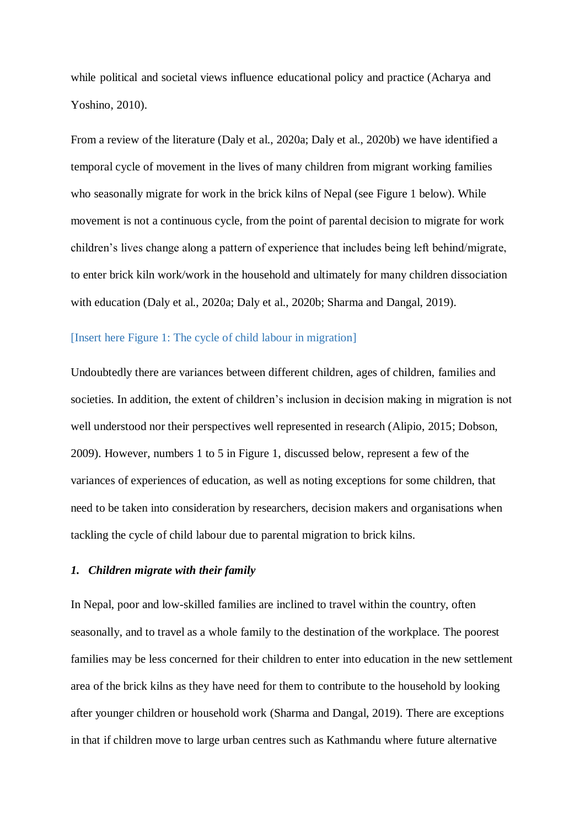while political and societal views influence educational policy and practice (Acharya and Yoshino, 2010).

From a review of the literature (Daly et al., 2020a; Daly et al., 2020b) we have identified a temporal cycle of movement in the lives of many children from migrant working families who seasonally migrate for work in the brick kilns of Nepal (see Figure 1 below). While movement is not a continuous cycle, from the point of parental decision to migrate for work children's lives change along a pattern of experience that includes being left behind/migrate, to enter brick kiln work/work in the household and ultimately for many children dissociation with education (Daly et al., 2020a; Daly et al., 2020b; Sharma and Dangal, 2019).

#### [Insert here Figure 1: The cycle of child labour in migration]

Undoubtedly there are variances between different children, ages of children, families and societies. In addition, the extent of children's inclusion in decision making in migration is not well understood nor their perspectives well represented in research (Alipio, 2015; Dobson, 2009). However, numbers 1 to 5 in Figure 1, discussed below, represent a few of the variances of experiences of education, as well as noting exceptions for some children, that need to be taken into consideration by researchers, decision makers and organisations when tackling the cycle of child labour due to parental migration to brick kilns.

#### *1. Children migrate with their family*

In Nepal, poor and low-skilled families are inclined to travel within the country, often seasonally, and to travel as a whole family to the destination of the workplace. The poorest families may be less concerned for their children to enter into education in the new settlement area of the brick kilns as they have need for them to contribute to the household by looking after younger children or household work (Sharma and Dangal, 2019). There are exceptions in that if children move to large urban centres such as Kathmandu where future alternative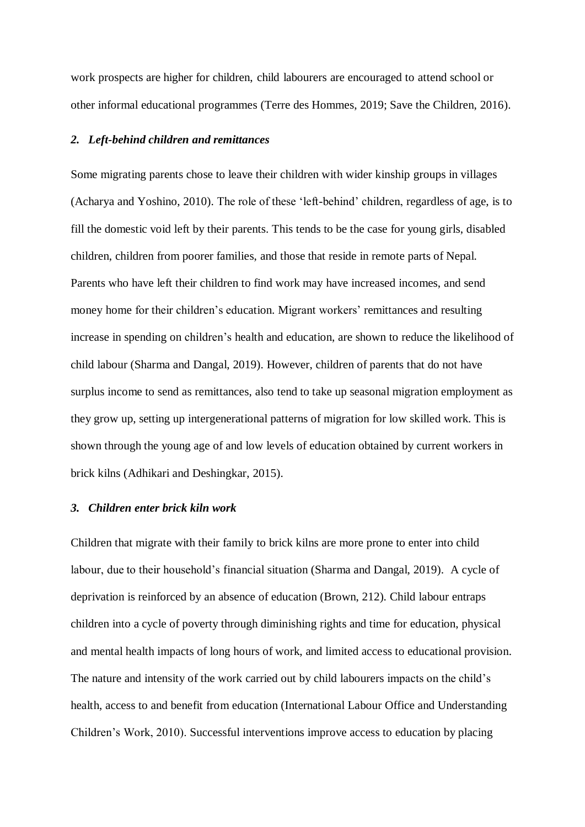work prospects are higher for children, child labourers are encouraged to attend school or other informal educational programmes (Terre des Hommes, 2019; Save the Children, 2016).

#### *2. Left-behind children and remittances*

Some migrating parents chose to leave their children with wider kinship groups in villages (Acharya and Yoshino, 2010). The role of these 'left-behind' children, regardless of age, is to fill the domestic void left by their parents. This tends to be the case for young girls, disabled children, children from poorer families, and those that reside in remote parts of Nepal. Parents who have left their children to find work may have increased incomes, and send money home for their children's education. Migrant workers' remittances and resulting increase in spending on children's health and education, are shown to reduce the likelihood of child labour (Sharma and Dangal, 2019). However, children of parents that do not have surplus income to send as remittances, also tend to take up seasonal migration employment as they grow up, setting up intergenerational patterns of migration for low skilled work. This is shown through the young age of and low levels of education obtained by current workers in brick kilns (Adhikari and Deshingkar, 2015).

#### *3. Children enter brick kiln work*

Children that migrate with their family to brick kilns are more prone to enter into child labour, due to their household's financial situation (Sharma and Dangal, 2019). A cycle of deprivation is reinforced by an absence of education (Brown, 212). Child labour entraps children into a cycle of poverty through diminishing rights and time for education, physical and mental health impacts of long hours of work, and limited access to educational provision. The nature and intensity of the work carried out by child labourers impacts on the child's health, access to and benefit from education (International Labour Office and Understanding Children's Work, 2010). Successful interventions improve access to education by placing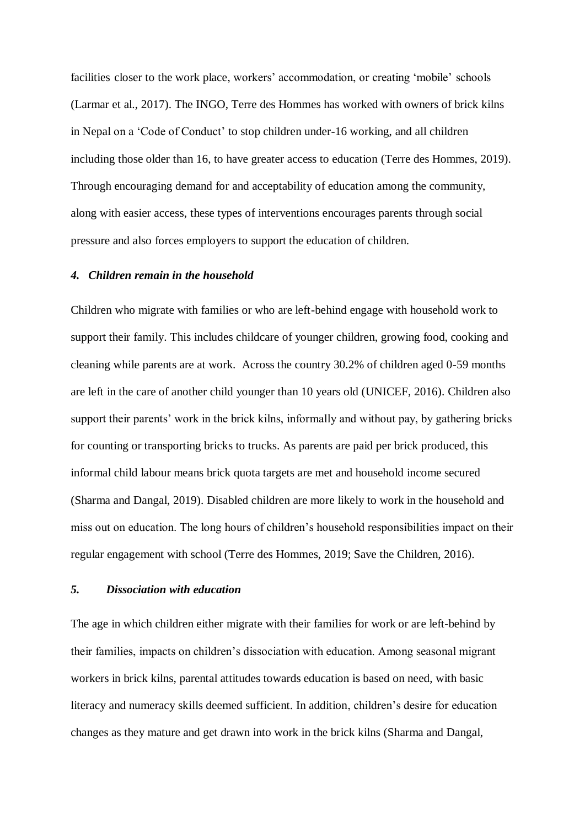facilities closer to the work place, workers' accommodation, or creating 'mobile' schools (Larmar et al., 2017). The INGO, Terre des Hommes has worked with owners of brick kilns in Nepal on a 'Code of Conduct' to stop children under-16 working, and all children including those older than 16, to have greater access to education (Terre des Hommes, 2019). Through encouraging demand for and acceptability of education among the community, along with easier access, these types of interventions encourages parents through social pressure and also forces employers to support the education of children.

### *4. Children remain in the household*

Children who migrate with families or who are left-behind engage with household work to support their family. This includes childcare of younger children, growing food, cooking and cleaning while parents are at work. Across the country 30.2% of children aged 0-59 months are left in the care of another child younger than 10 years old (UNICEF, 2016). Children also support their parents' work in the brick kilns, informally and without pay, by gathering bricks for counting or transporting bricks to trucks. As parents are paid per brick produced, this informal child labour means brick quota targets are met and household income secured (Sharma and Dangal, 2019). Disabled children are more likely to work in the household and miss out on education. The long hours of children's household responsibilities impact on their regular engagement with school (Terre des Hommes, 2019; Save the Children, 2016).

# *5. Dissociation with education*

The age in which children either migrate with their families for work or are left-behind by their families, impacts on children's dissociation with education. Among seasonal migrant workers in brick kilns, parental attitudes towards education is based on need, with basic literacy and numeracy skills deemed sufficient. In addition, children's desire for education changes as they mature and get drawn into work in the brick kilns (Sharma and Dangal,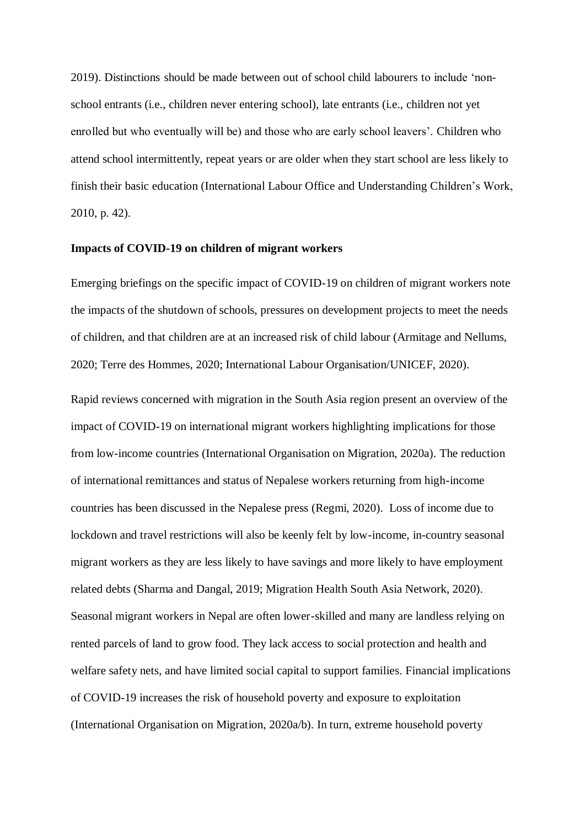2019). Distinctions should be made between out of school child labourers to include 'nonschool entrants (i.e., children never entering school), late entrants (i.e., children not yet enrolled but who eventually will be) and those who are early school leavers'. Children who attend school intermittently, repeat years or are older when they start school are less likely to finish their basic education (International Labour Office and Understanding Children's Work, 2010, p. 42).

#### **Impacts of COVID-19 on children of migrant workers**

Emerging briefings on the specific impact of COVID-19 on children of migrant workers note the impacts of the shutdown of schools, pressures on development projects to meet the needs of children, and that children are at an increased risk of child labour (Armitage and Nellums, 2020; Terre des Hommes, 2020; International Labour Organisation/UNICEF, 2020).

Rapid reviews concerned with migration in the South Asia region present an overview of the impact of COVID-19 on international migrant workers highlighting implications for those from low-income countries (International Organisation on Migration, 2020a). The reduction of international remittances and status of Nepalese workers returning from high-income countries has been discussed in the Nepalese press (Regmi, 2020). Loss of income due to lockdown and travel restrictions will also be keenly felt by low-income, in-country seasonal migrant workers as they are less likely to have savings and more likely to have employment related debts (Sharma and Dangal, 2019; Migration Health South Asia Network, 2020). Seasonal migrant workers in Nepal are often lower-skilled and many are landless relying on rented parcels of land to grow food. They lack access to social protection and health and welfare safety nets, and have limited social capital to support families. Financial implications of COVID-19 increases the risk of household poverty and exposure to exploitation (International Organisation on Migration, 2020a/b). In turn, extreme household poverty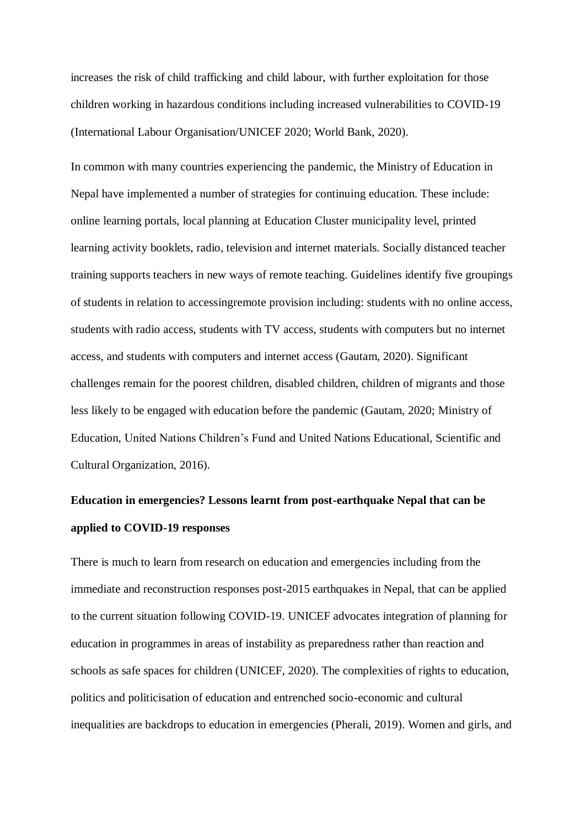increases the risk of child trafficking and child labour, with further exploitation for those children working in hazardous conditions including increased vulnerabilities to COVID-19 (International Labour Organisation/UNICEF 2020; World Bank, 2020).

In common with many countries experiencing the pandemic, the Ministry of Education in Nepal have implemented a number of strategies for continuing education. These include: online learning portals, local planning at Education Cluster municipality level, printed learning activity booklets, radio, television and internet materials. Socially distanced teacher training supports teachers in new ways of remote teaching. Guidelines identify five groupings of students in relation to accessingremote provision including: students with no online access, students with radio access, students with TV access, students with computers but no internet access, and students with computers and internet access (Gautam, 2020). Significant challenges remain for the poorest children, disabled children, children of migrants and those less likely to be engaged with education before the pandemic (Gautam, 2020; Ministry of Education, United Nations Children's Fund and United Nations Educational, Scientific and Cultural Organization, 2016).

# **Education in emergencies? Lessons learnt from post-earthquake Nepal that can be applied to COVID-19 responses**

There is much to learn from research on education and emergencies including from the immediate and reconstruction responses post-2015 earthquakes in Nepal, that can be applied to the current situation following COVID-19. UNICEF advocates integration of planning for education in programmes in areas of instability as preparedness rather than reaction and schools as safe spaces for children (UNICEF, 2020). The complexities of rights to education, politics and politicisation of education and entrenched socio-economic and cultural inequalities are backdrops to education in emergencies (Pherali, 2019). Women and girls, and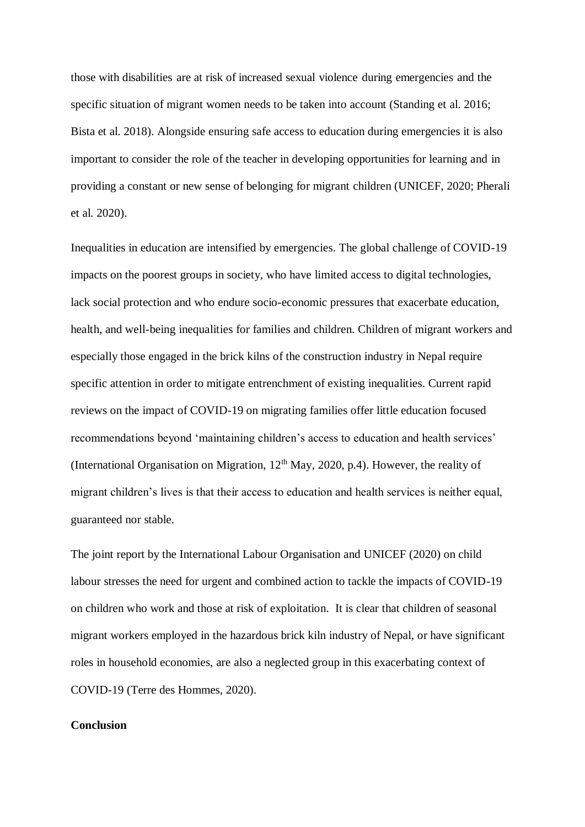those with disabilities are at risk of increased sexual violence during emergencies and the specific situation of migrant women needs to be taken into account (Standing et al. 2016; Bista et al. 2018). Alongside ensuring safe access to education during emergencies it is also important to consider the role of the teacher in developing opportunities for learning and in providing a constant or new sense of belonging for migrant children (UNICEF, 2020; Pherali et al. 2020).

Inequalities in education are intensified by emergencies. The global challenge of COVID-19 impacts on the poorest groups in society, who have limited access to digital technologies, lack social protection and who endure socio-economic pressures that exacerbate education, health, and well-being inequalities for families and children. Children of migrant workers and especially those engaged in the brick kilns of the construction industry in Nepal require specific attention in order to mitigate entrenchment of existing inequalities. Current rapid reviews on the impact of COVID-19 on migrating families offer little education focused recommendations beyond 'maintaining children's access to education and health services' (International Organisation on Migration,  $12<sup>th</sup>$  May, 2020, p.4). However, the reality of migrant children's lives is that their access to education and health services is neither equal, guaranteed nor stable.

The joint report by the International Labour Organisation and UNICEF (2020) on child labour stresses the need for urgent and combined action to tackle the impacts of COVID-19 on children who work and those at risk of exploitation. It is clear that children of seasonal migrant workers employed in the hazardous brick kiln industry of Nepal, or have significant roles in household economies, are also a neglected group in this exacerbating context of COVID-19 (Terre des Hommes, 2020).

### **Conclusion**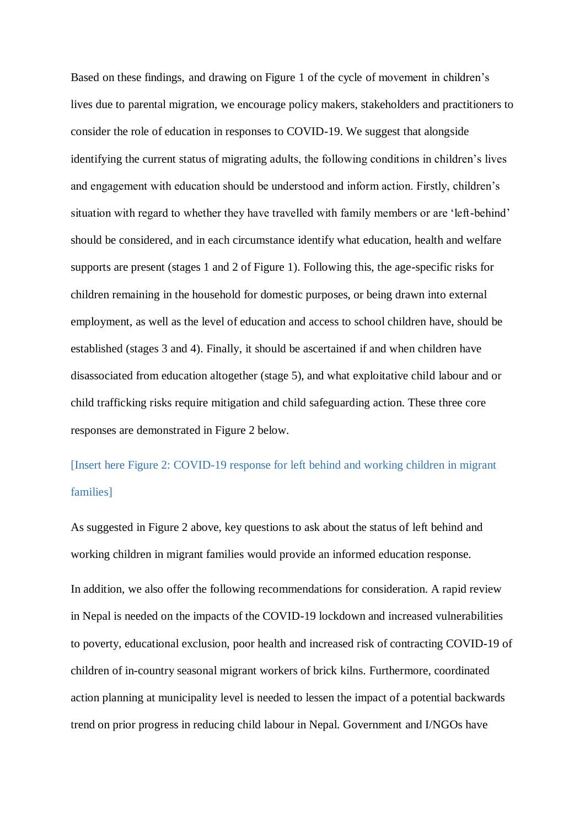Based on these findings, and drawing on Figure 1 of the cycle of movement in children's lives due to parental migration, we encourage policy makers, stakeholders and practitioners to consider the role of education in responses to COVID-19. We suggest that alongside identifying the current status of migrating adults, the following conditions in children's lives and engagement with education should be understood and inform action. Firstly, children's situation with regard to whether they have travelled with family members or are 'left-behind' should be considered, and in each circumstance identify what education, health and welfare supports are present (stages 1 and 2 of Figure 1). Following this, the age-specific risks for children remaining in the household for domestic purposes, or being drawn into external employment, as well as the level of education and access to school children have, should be established (stages 3 and 4). Finally, it should be ascertained if and when children have disassociated from education altogether (stage 5), and what exploitative child labour and or child trafficking risks require mitigation and child safeguarding action. These three core responses are demonstrated in Figure 2 below.

[Insert here Figure 2: COVID-19 response for left behind and working children in migrant families]

As suggested in Figure 2 above, key questions to ask about the status of left behind and working children in migrant families would provide an informed education response. In addition, we also offer the following recommendations for consideration. A rapid review in Nepal is needed on the impacts of the COVID-19 lockdown and increased vulnerabilities to poverty, educational exclusion, poor health and increased risk of contracting COVID-19 of children of in-country seasonal migrant workers of brick kilns. Furthermore, coordinated action planning at municipality level is needed to lessen the impact of a potential backwards trend on prior progress in reducing child labour in Nepal. Government and I/NGOs have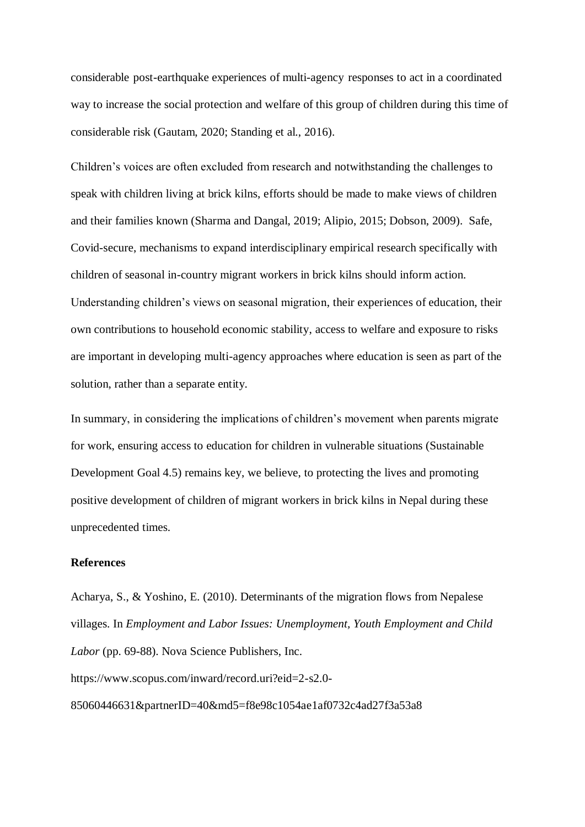considerable post-earthquake experiences of multi-agency responses to act in a coordinated way to increase the social protection and welfare of this group of children during this time of considerable risk (Gautam, 2020; Standing et al., 2016).

Children's voices are often excluded from research and notwithstanding the challenges to speak with children living at brick kilns, efforts should be made to make views of children and their families known (Sharma and Dangal, 2019; Alipio, 2015; Dobson, 2009). Safe, Covid-secure, mechanisms to expand interdisciplinary empirical research specifically with children of seasonal in-country migrant workers in brick kilns should inform action. Understanding children's views on seasonal migration, their experiences of education, their own contributions to household economic stability, access to welfare and exposure to risks are important in developing multi-agency approaches where education is seen as part of the solution, rather than a separate entity.

In summary, in considering the implications of children's movement when parents migrate for work, ensuring access to education for children in vulnerable situations (Sustainable Development Goal 4.5) remains key, we believe, to protecting the lives and promoting positive development of children of migrant workers in brick kilns in Nepal during these unprecedented times.

#### **References**

Acharya, S., & Yoshino, E. (2010). Determinants of the migration flows from Nepalese villages. In *Employment and Labor Issues: Unemployment, Youth Employment and Child Labor* (pp. 69-88). Nova Science Publishers, Inc. https://www.scopus.com/inward/record.uri?eid=2-s2.0- 85060446631&partnerID=40&md5=f8e98c1054ae1af0732c4ad27f3a53a8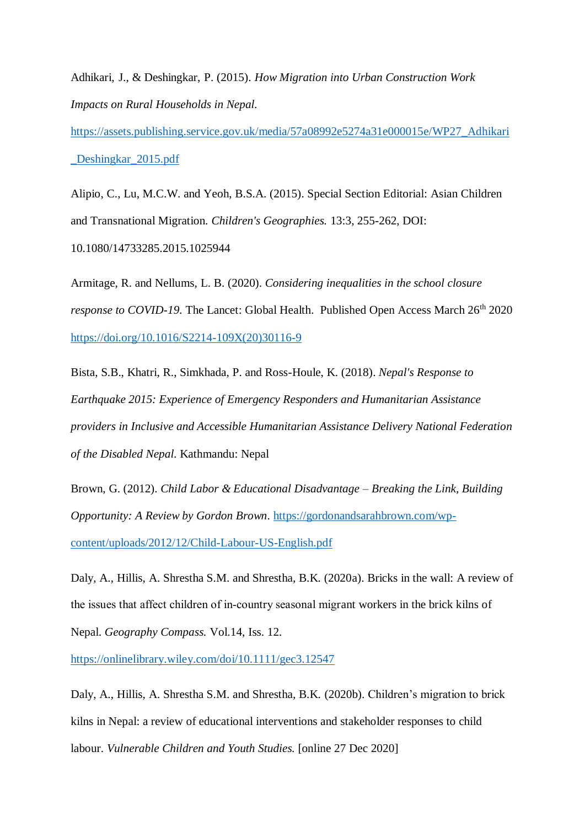Adhikari, J., & Deshingkar, P. (2015). *How Migration into Urban Construction Work Impacts on Rural Households in Nepal.*

[https://assets.publishing.service.gov.uk/media/57a08992e5274a31e000015e/WP27\\_Adhikari](https://assets.publishing.service.gov.uk/media/57a08992e5274a31e000015e/WP27_Adhikari_Deshingkar_2015.pdf) [\\_Deshingkar\\_2015.pdf](https://assets.publishing.service.gov.uk/media/57a08992e5274a31e000015e/WP27_Adhikari_Deshingkar_2015.pdf)

Alipio, C., Lu, M.C.W. and Yeoh, B.S.A. (2015). Special Section Editorial: Asian Children and Transnational Migration. *Children's Geographies.* 13:3, 255-262, DOI: 10.1080/14733285.2015.1025944

Armitage, R. and Nellums, L. B. (2020). *Considering inequalities in the school closure response to COVID-19.* The Lancet: Global Health. Published Open Access March 26<sup>th</sup> 2020 [https://doi.org/10.1016/S2214-109X\(20\)30116-9](https://doi.org/10.1016/S2214-109X(20)30116-9)

Bista, S.B., Khatri, R., Simkhada, P. and Ross-Houle, K. (2018). *Nepal's Response to Earthquake 2015: Experience of Emergency Responders and Humanitarian Assistance providers in Inclusive and Accessible Humanitarian Assistance Delivery National Federation of the Disabled Nepal.* Kathmandu: Nepal

Brown, G. (2012). *Child Labor & Educational Disadvantage – Breaking the Link, Building Opportunity: A Review by Gordon Brown*. [https://gordonandsarahbrown.com/wp](https://gordonandsarahbrown.com/wp-content/uploads/2012/12/Child-Labour-US-English.pdf)[content/uploads/2012/12/Child-Labour-US-English.pdf](https://gordonandsarahbrown.com/wp-content/uploads/2012/12/Child-Labour-US-English.pdf)

Daly, A., Hillis, A. Shrestha S.M. and Shrestha, B.K. (2020a). Bricks in the wall: A review of the issues that affect children of in‐country seasonal migrant workers in the brick kilns of Nepal. *Geography Compass.* Vol.14, Iss. 12.

<https://onlinelibrary.wiley.com/doi/10.1111/gec3.12547>

Daly, A., Hillis, A. Shrestha S.M. and Shrestha, B.K. (2020b). Children's migration to brick kilns in Nepal: a review of educational interventions and stakeholder responses to child labour. *Vulnerable Children and Youth Studies.* [online 27 Dec 2020]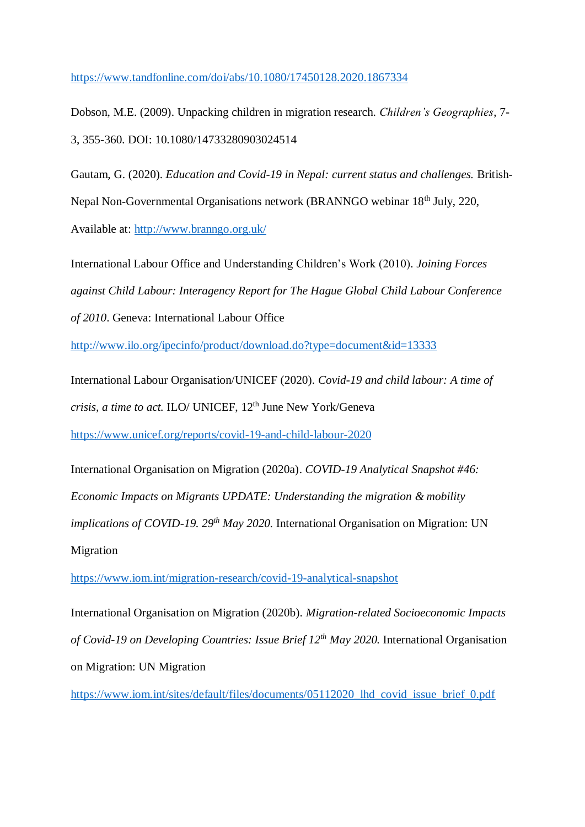<https://www.tandfonline.com/doi/abs/10.1080/17450128.2020.1867334>

Dobson, M.E. (2009). Unpacking children in migration research. *Children's Geographies*, 7- 3, 355-360. DOI: 10.1080/14733280903024514

Gautam, G. (2020). *Education and Covid-19 in Nepal: current status and challenges.* British-Nepal Non-Governmental Organisations network (BRANNGO webinar 18<sup>th</sup> July, 220, Available at:<http://www.branngo.org.uk/>

International Labour Office and Understanding Children's Work (2010). *Joining Forces against Child Labour: Interagency Report for The Hague Global Child Labour Conference of 2010*. Geneva: International Labour Office

<http://www.ilo.org/ipecinfo/product/download.do?type=document&id=13333>

International Labour Organisation/UNICEF (2020). *Covid-19 and child labour: A time of crisis, a time to act.* ILO/ UNICEF, 12<sup>th</sup> June New York/Geneva <https://www.unicef.org/reports/covid-19-and-child-labour-2020>

International Organisation on Migration (2020a). *COVID-19 Analytical Snapshot #46: Economic Impacts on Migrants UPDATE: Understanding the migration & mobility implications of COVID-19. 29th May 2020.* International Organisation on Migration: UN Migration

<https://www.iom.int/migration-research/covid-19-analytical-snapshot>

International Organisation on Migration (2020b). *Migration-related Socioeconomic Impacts of Covid-19 on Developing Countries: Issue Brief 12th May 2020.* International Organisation on Migration: UN Migration

[https://www.iom.int/sites/default/files/documents/05112020\\_lhd\\_covid\\_issue\\_brief\\_0.pdf](https://www.iom.int/sites/default/files/documents/05112020_lhd_covid_issue_brief_0.pdf)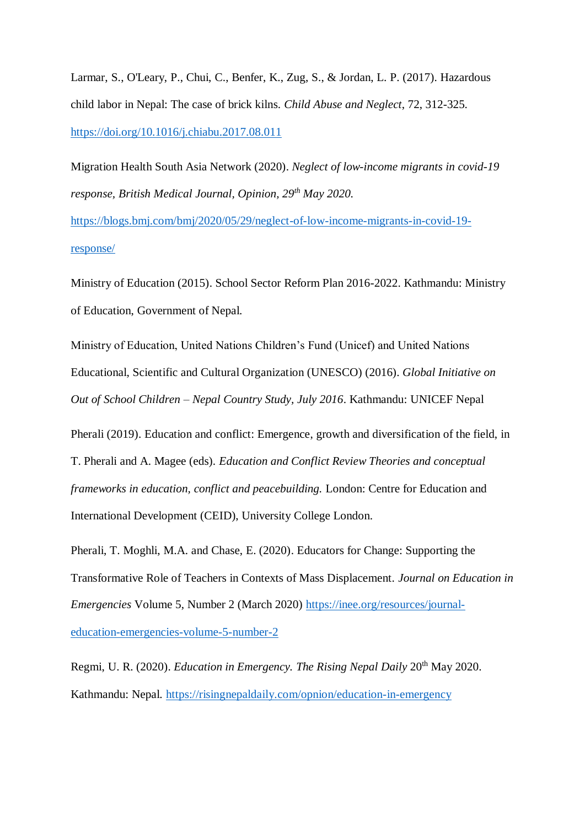Larmar, S., O'Leary, P., Chui, C., Benfer, K., Zug, S., & Jordan, L. P. (2017). Hazardous child labor in Nepal: The case of brick kilns. *Child Abuse and Neglect*, 72, 312-325. <https://doi.org/10.1016/j.chiabu.2017.08.011>

Migration Health South Asia Network (2020). *Neglect of low-income migrants in covid-19 response, British Medical Journal, Opinion, 29th May 2020.*

[https://blogs.bmj.com/bmj/2020/05/29/neglect-of-low-income-migrants-in-covid-19](https://blogs.bmj.com/bmj/2020/05/29/neglect-of-low-income-migrants-in-covid-19-response/) [response/](https://blogs.bmj.com/bmj/2020/05/29/neglect-of-low-income-migrants-in-covid-19-response/)

Ministry of Education (2015). School Sector Reform Plan 2016-2022. Kathmandu: Ministry of Education, Government of Nepal.

Ministry of Education, United Nations Children's Fund (Unicef) and United Nations Educational, Scientific and Cultural Organization (UNESCO) (2016). *Global Initiative on Out of School Children – Nepal Country Study, July 2016*. Kathmandu: UNICEF Nepal

Pherali (2019). Education and conflict: Emergence, growth and diversification of the field, in T. Pherali and A. Magee (eds). *Education and Conflict Review Theories and conceptual frameworks in education, conflict and peacebuilding.* London: Centre for Education and International Development (CEID), University College London.

Pherali, T. Moghli, M.A. and Chase, E. (2020). Educators for Change: Supporting the Transformative Role of Teachers in Contexts of Mass Displacement. *Journal on Education in Emergencies* Volume 5, Number 2 (March 2020) [https://inee.org/resources/journal](https://inee.org/resources/journal-education-emergencies-volume-5-number-2)[education-emergencies-volume-5-number-2](https://inee.org/resources/journal-education-emergencies-volume-5-number-2)

Regmi, U. R. (2020). *Education in Emergency. The Rising Nepal Daily* 20<sup>th</sup> May 2020. Kathmandu: Nepal.<https://risingnepaldaily.com/opnion/education-in-emergency>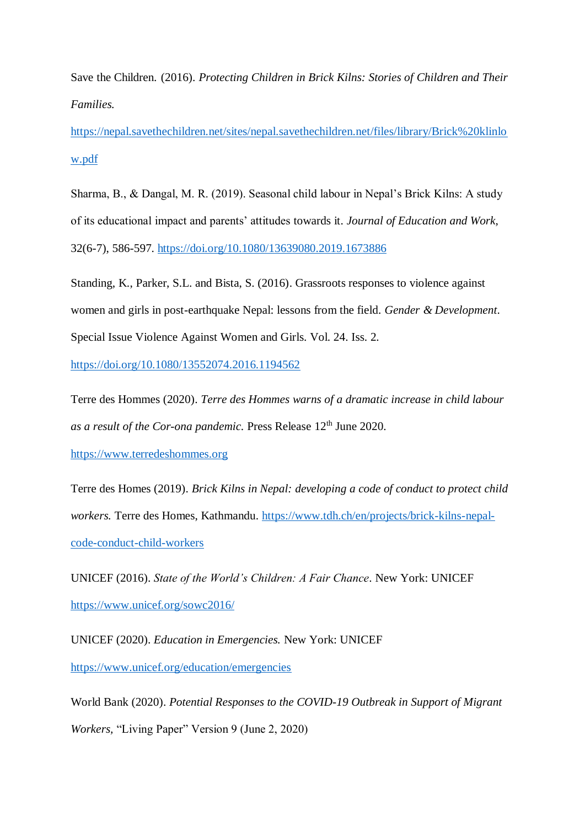Save the Children. (2016). *Protecting Children in Brick Kilns: Stories of Children and Their Families.*

[https://nepal.savethechildren.net/sites/nepal.savethechildren.net/files/library/Brick%20klinlo](https://nepal.savethechildren.net/sites/nepal.savethechildren.net/files/library/Brick%20klinlow.pdf) [w.pdf](https://nepal.savethechildren.net/sites/nepal.savethechildren.net/files/library/Brick%20klinlow.pdf)

Sharma, B., & Dangal, M. R. (2019). Seasonal child labour in Nepal's Brick Kilns: A study of its educational impact and parents' attitudes towards it. *Journal of Education and Work*, 32(6-7), 586-597.<https://doi.org/10.1080/13639080.2019.1673886>

Standing, K., Parker, S.L. and Bista, S. (2016). Grassroots responses to violence against women and girls in post-earthquake Nepal: lessons from the field. *Gender & Development*. Special Issue Violence Against Women and Girls. Vol. 24. Iss. 2.

<https://doi.org/10.1080/13552074.2016.1194562>

Terre des Hommes (2020). *Terre des Hommes warns of a dramatic increase in child labour as a result of the Cor-ona pandemic.* Press Release 12<sup>th</sup> June 2020.

[https://www.terredeshommes.org](https://www.terredeshommes.org/)

Terre des Homes (2019). *Brick Kilns in Nepal: developing a code of conduct to protect child workers.* Terre des Homes, Kathmandu. [https://www.tdh.ch/en/projects/brick-kilns-nepal](https://www.tdh.ch/en/projects/brick-kilns-nepal-code-conduct-child-workers)[code-conduct-child-workers](https://www.tdh.ch/en/projects/brick-kilns-nepal-code-conduct-child-workers) 

UNICEF (2016). *State of the World's Children: A Fair Chance*. New York: UNICEF <https://www.unicef.org/sowc2016/>

UNICEF (2020). *Education in Emergencies.* New York: UNICEF <https://www.unicef.org/education/emergencies>

World Bank (2020). *Potential Responses to the COVID-19 Outbreak in Support of Migrant Workers,* "Living Paper" Version 9 (June 2, 2020)